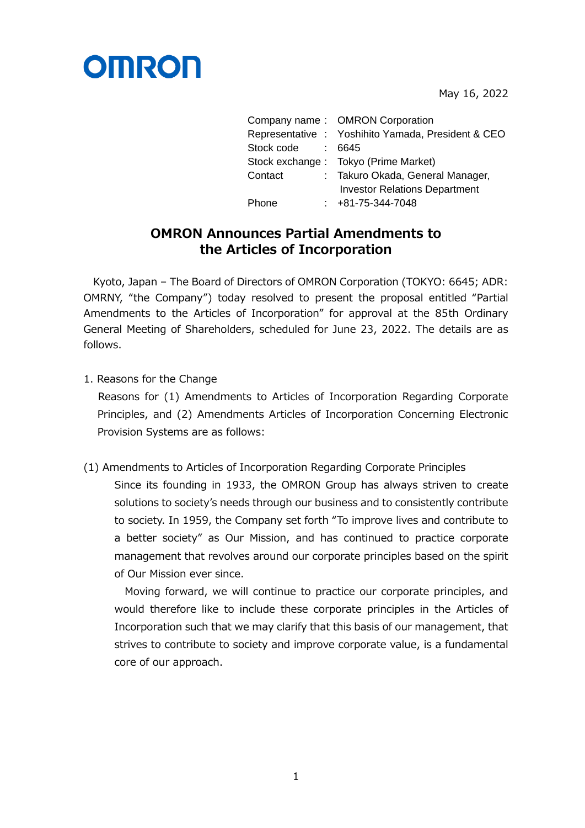

May 16, 2022

|                   | Company name: OMRON Corporation                    |
|-------------------|----------------------------------------------------|
|                   | Representative : Yoshihito Yamada, President & CEO |
| Stock code : 6645 |                                                    |
|                   | Stock exchange : Tokyo (Prime Market)              |
| Contact           | : Takuro Okada, General Manager,                   |
|                   | <b>Investor Relations Department</b>               |
| Phone             | $: +81-75-344-7048$                                |
|                   |                                                    |

## **OMRON Announces Partial Amendments to the Articles of Incorporation**

Kyoto, Japan – The Board of Directors of OMRON Corporation (TOKYO: 6645; ADR: OMRNY, "the Company") today resolved to present the proposal entitled "Partial Amendments to the Articles of Incorporation" for approval at the 85th Ordinary General Meeting of Shareholders, scheduled for June 23, 2022. The details are as follows.

1. Reasons for the Change

Reasons for (1) Amendments to Articles of Incorporation Regarding Corporate Principles, and (2) Amendments Articles of Incorporation Concerning Electronic Provision Systems are as follows:

(1) Amendments to Articles of Incorporation Regarding Corporate Principles

Since its founding in 1933, the OMRON Group has always striven to create solutions to society's needs through our business and to consistently contribute to society. In 1959, the Company set forth "To improve lives and contribute to a better society" as Our Mission, and has continued to practice corporate management that revolves around our corporate principles based on the spirit of Our Mission ever since.

Moving forward, we will continue to practice our corporate principles, and would therefore like to include these corporate principles in the Articles of Incorporation such that we may clarify that this basis of our management, that strives to contribute to society and improve corporate value, is a fundamental core of our approach.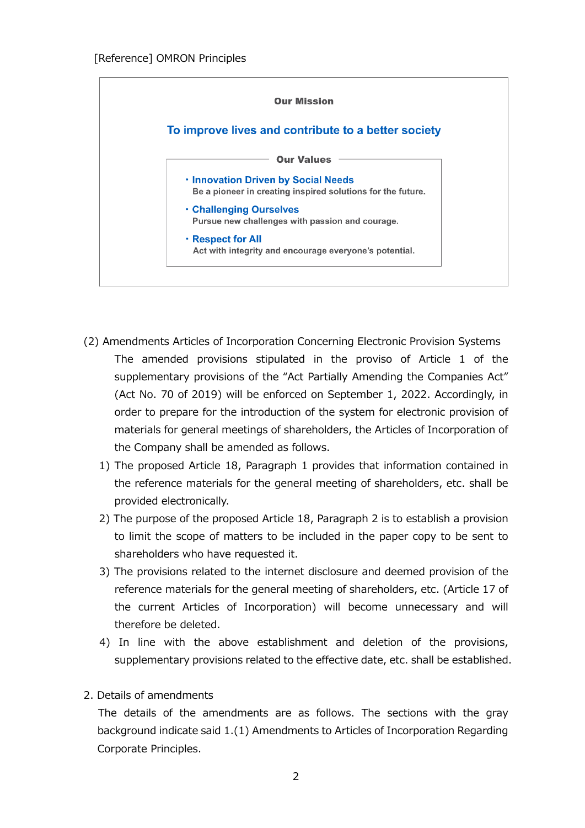

- (2) Amendments Articles of Incorporation Concerning Electronic Provision Systems The amended provisions stipulated in the proviso of Article 1 of the supplementary provisions of the "Act Partially Amending the Companies Act" (Act No. 70 of 2019) will be enforced on September 1, 2022. Accordingly, in order to prepare for the introduction of the system for electronic provision of materials for general meetings of shareholders, the Articles of Incorporation of the Company shall be amended as follows.
	- 1) The proposed Article 18, Paragraph 1 provides that information contained in the reference materials for the general meeting of shareholders, etc. shall be provided electronically.
	- 2) The purpose of the proposed Article 18, Paragraph 2 is to establish a provision to limit the scope of matters to be included in the paper copy to be sent to shareholders who have requested it.
	- 3) The provisions related to the internet disclosure and deemed provision of the reference materials for the general meeting of shareholders, etc. (Article 17 of the current Articles of Incorporation) will become unnecessary and will therefore be deleted.
	- 4) In line with the above establishment and deletion of the provisions, supplementary provisions related to the effective date, etc. shall be established.
- 2. Details of amendments

The details of the amendments are as follows. The sections with the gray background indicate said 1.(1) Amendments to Articles of Incorporation Regarding Corporate Principles.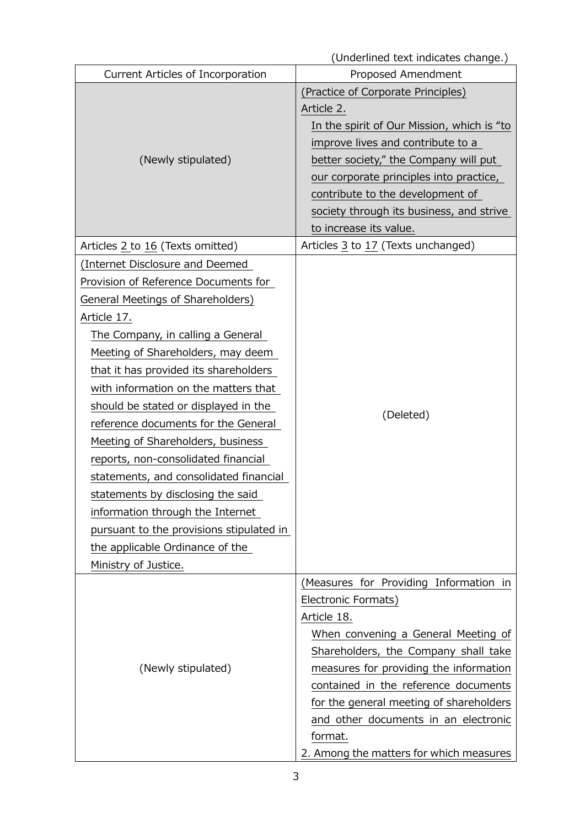|                                          | (Underlined text indicates change.)        |  |
|------------------------------------------|--------------------------------------------|--|
| Current Articles of Incorporation        | Proposed Amendment                         |  |
|                                          | (Practice of Corporate Principles)         |  |
|                                          | Article 2.                                 |  |
|                                          | In the spirit of Our Mission, which is "to |  |
|                                          | improve lives and contribute to a          |  |
| (Newly stipulated)                       | better society," the Company will put      |  |
|                                          | our corporate principles into practice,    |  |
|                                          | contribute to the development of           |  |
|                                          | society through its business, and strive   |  |
|                                          | to increase its value.                     |  |
| Articles 2 to 16 (Texts omitted)         | Articles 3 to 17 (Texts unchanged)         |  |
| (Internet Disclosure and Deemed          |                                            |  |
| Provision of Reference Documents for     |                                            |  |
| General Meetings of Shareholders)        | (Deleted)                                  |  |
| Article 17.                              |                                            |  |
| The Company, in calling a General        |                                            |  |
| Meeting of Shareholders, may deem        |                                            |  |
| that it has provided its shareholders    |                                            |  |
| with information on the matters that     |                                            |  |
| should be stated or displayed in the     |                                            |  |
| reference documents for the General      |                                            |  |
| Meeting of Shareholders, business        |                                            |  |
| reports, non-consolidated financial      |                                            |  |
| statements, and consolidated financial   |                                            |  |
| statements by disclosing the said        |                                            |  |
| information through the Internet         |                                            |  |
| pursuant to the provisions stipulated in |                                            |  |
| the applicable Ordinance of the          |                                            |  |
| Ministry of Justice.                     |                                            |  |
|                                          | (Measures for Providing Information in     |  |
|                                          | Electronic Formats)                        |  |
|                                          | Article 18.                                |  |
|                                          | When convening a General Meeting of        |  |
|                                          | Shareholders, the Company shall take       |  |
| (Newly stipulated)                       | measures for providing the information     |  |
|                                          | contained in the reference documents       |  |
|                                          | for the general meeting of shareholders    |  |
|                                          | and other documents in an electronic       |  |
|                                          | format.                                    |  |
|                                          | 2. Among the matters for which measures    |  |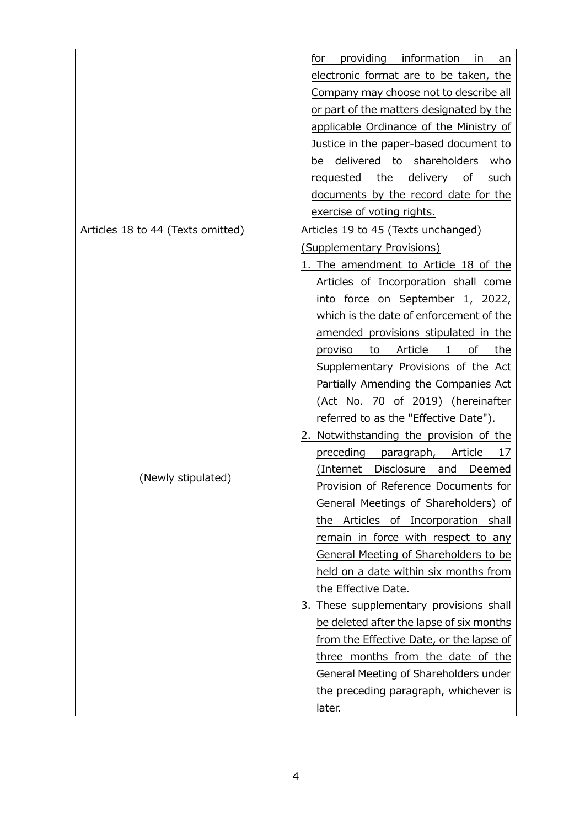|                                   | providing<br>information<br>for<br>in<br>an<br>electronic format are to be taken, the<br>Company may choose not to describe all<br>or part of the matters designated by the<br>applicable Ordinance of the Ministry of<br>Justice in the paper-based document to<br>be delivered to shareholders<br>who                                                                                                                                                                                                                                                                                                                                                                                                                                                                                                                                                                                                                                                                                                                                                                                                                          |
|-----------------------------------|----------------------------------------------------------------------------------------------------------------------------------------------------------------------------------------------------------------------------------------------------------------------------------------------------------------------------------------------------------------------------------------------------------------------------------------------------------------------------------------------------------------------------------------------------------------------------------------------------------------------------------------------------------------------------------------------------------------------------------------------------------------------------------------------------------------------------------------------------------------------------------------------------------------------------------------------------------------------------------------------------------------------------------------------------------------------------------------------------------------------------------|
|                                   | delivery<br>the<br>requested<br>οf<br>such                                                                                                                                                                                                                                                                                                                                                                                                                                                                                                                                                                                                                                                                                                                                                                                                                                                                                                                                                                                                                                                                                       |
|                                   | documents by the record date for the                                                                                                                                                                                                                                                                                                                                                                                                                                                                                                                                                                                                                                                                                                                                                                                                                                                                                                                                                                                                                                                                                             |
|                                   | exercise of voting rights.                                                                                                                                                                                                                                                                                                                                                                                                                                                                                                                                                                                                                                                                                                                                                                                                                                                                                                                                                                                                                                                                                                       |
| Articles 18 to 44 (Texts omitted) | Articles 19 to 45 (Texts unchanged)                                                                                                                                                                                                                                                                                                                                                                                                                                                                                                                                                                                                                                                                                                                                                                                                                                                                                                                                                                                                                                                                                              |
| (Newly stipulated)                | (Supplementary Provisions)<br>1. The amendment to Article 18 of the<br>Articles of Incorporation shall come<br>into force on September 1, 2022,<br>which is the date of enforcement of the<br>amended provisions stipulated in the<br>Article<br>proviso<br>to<br>$\mathbf{1}$<br>οf<br>the<br>Supplementary Provisions of the Act<br>Partially Amending the Companies Act<br>(Act No. 70 of 2019) (hereinafter<br>referred to as the "Effective Date").<br>2. Notwithstanding the provision of the<br>preceding<br>Article<br>paragraph,<br>17<br>(Internet Disclosure and<br>Deemed<br>Provision of Reference Documents for<br>General Meetings of Shareholders) of<br>the Articles of Incorporation shall<br>remain in force with respect to any<br>General Meeting of Shareholders to be<br>held on a date within six months from<br>the Effective Date.<br>3. These supplementary provisions shall<br>be deleted after the lapse of six months<br>from the Effective Date, or the lapse of<br>three months from the date of the<br>General Meeting of Shareholders under<br>the preceding paragraph, whichever is<br>later. |